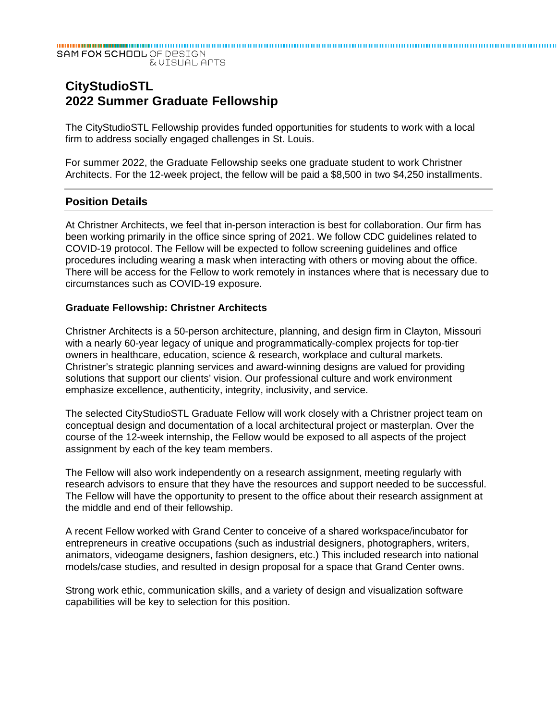#### SAM FOX SCHOOL OF DESIGN **EVISUAL APTS**

# **CityStudioSTL 2022 Summer Graduate Fellowship**

The CityStudioSTL Fellowship provides funded opportunities for students to work with a local firm to address socially engaged challenges in St. Louis.

For summer 2022, the Graduate Fellowship seeks one graduate student to work Christner Architects. For the 12-week project, the fellow will be paid a \$8,500 in two \$4,250 installments.

## **Position Details**

At Christner Architects, we feel that in-person interaction is best for collaboration. Our firm has been working primarily in the office since spring of 2021. We follow CDC guidelines related to COVID-19 protocol. The Fellow will be expected to follow screening guidelines and office procedures including wearing a mask when interacting with others or moving about the office. There will be access for the Fellow to work remotely in instances where that is necessary due to circumstances such as COVID-19 exposure.

#### **Graduate Fellowship: Christner Architects**

Christner Architects is a 50-person architecture, planning, and design firm in Clayton, Missouri with a nearly 60-year legacy of unique and programmatically-complex projects for top-tier owners in healthcare, education, science & research, workplace and cultural markets. Christner's strategic planning services and award-winning designs are valued for providing solutions that support our clients' vision. Our professional culture and work environment emphasize excellence, authenticity, integrity, inclusivity, and service.

The selected CityStudioSTL Graduate Fellow will work closely with a Christner project team on conceptual design and documentation of a local architectural project or masterplan. Over the course of the 12-week internship, the Fellow would be exposed to all aspects of the project assignment by each of the key team members.

The Fellow will also work independently on a research assignment, meeting regularly with research advisors to ensure that they have the resources and support needed to be successful. The Fellow will have the opportunity to present to the office about their research assignment at the middle and end of their fellowship.

A recent Fellow worked with Grand Center to conceive of a shared workspace/incubator for entrepreneurs in creative occupations (such as industrial designers, photographers, writers, animators, videogame designers, fashion designers, etc.) This included research into national models/case studies, and resulted in design proposal for a space that Grand Center owns.

Strong work ethic, communication skills, and a variety of design and visualization software capabilities will be key to selection for this position.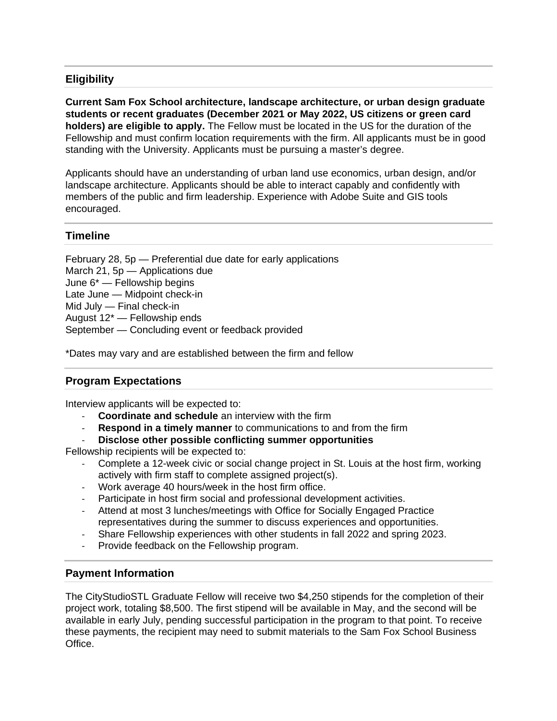# **Eligibility**

**Current Sam Fox School architecture, landscape architecture, or urban design graduate students or recent graduates (December 2021 or May 2022, US citizens or green card holders) are eligible to apply.** The Fellow must be located in the US for the duration of the Fellowship and must confirm location requirements with the firm. All applicants must be in good standing with the University. Applicants must be pursuing a master's degree.

Applicants should have an understanding of urban land use economics, urban design, and/or landscape architecture. Applicants should be able to interact capably and confidently with members of the public and firm leadership. Experience with Adobe Suite and GIS tools encouraged.

## **Timeline**

February 28, 5p — Preferential due date for early applications March 21, 5p — Applications due June 6\* — Fellowship begins Late June — Midpoint check-in Mid July — Final check-in August 12\* — Fellowship ends September — Concluding event or feedback provided

\*Dates may vary and are established between the firm and fellow

# **Program Expectations**

Interview applicants will be expected to:

- ‐ **Coordinate and schedule** an interview with the firm
- **Respond in a timely manner** to communications to and from the firm
- ‐ **Disclose other possible conflicting summer opportunities**

Fellowship recipients will be expected to:

- ‐ Complete a 12-week civic or social change project in St. Louis at the host firm, working actively with firm staff to complete assigned project(s).
- ‐ Work average 40 hours/week in the host firm office.
- ‐ Participate in host firm social and professional development activities.
- ‐ Attend at most 3 lunches/meetings with Office for Socially Engaged Practice representatives during the summer to discuss experiences and opportunities.
- ‐ Share Fellowship experiences with other students in fall 2022 and spring 2023.
- ‐ Provide feedback on the Fellowship program.

#### **Payment Information**

The CityStudioSTL Graduate Fellow will receive two \$4,250 stipends for the completion of their project work, totaling \$8,500. The first stipend will be available in May, and the second will be available in early July, pending successful participation in the program to that point. To receive these payments, the recipient may need to submit materials to the Sam Fox School Business Office.